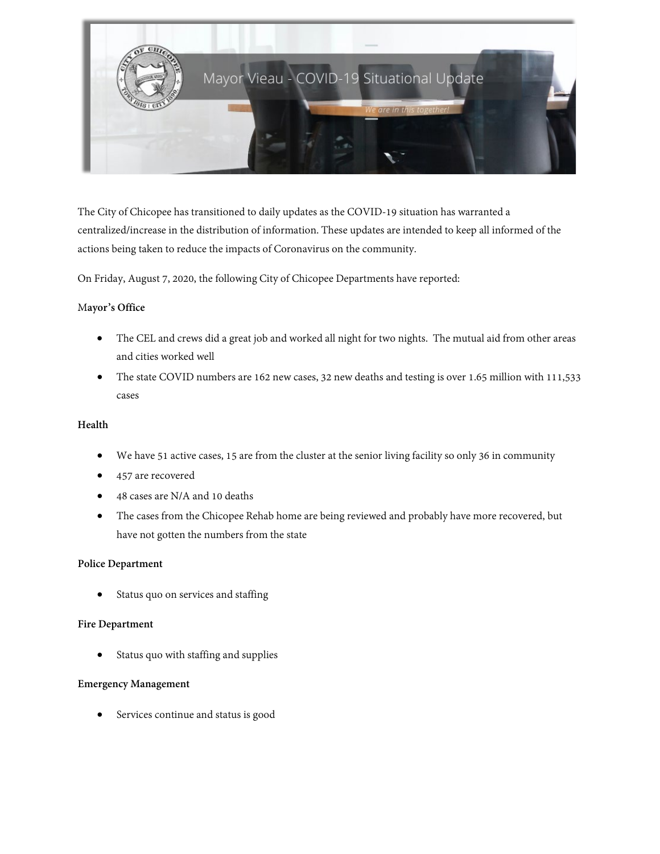

The City of Chicopee has transitioned to daily updates as the COVID-19 situation has warranted a centralized/increase in the distribution of information. These updates are intended to keep all informed of the actions being taken to reduce the impacts of Coronavirus on the community.

On Friday, August 7, 2020, the following City of Chicopee Departments have reported:

# M**ayor's Office**

- The CEL and crews did a great job and worked all night for two nights. The mutual aid from other areas and cities worked well
- The state COVID numbers are 162 new cases, 32 new deaths and testing is over 1.65 million with 111,533 cases

# **Health**

- We have 51 active cases, 15 are from the cluster at the senior living facility so only 36 in community
- 457 are recovered
- 48 cases are N/A and 10 deaths
- The cases from the Chicopee Rehab home are being reviewed and probably have more recovered, but have not gotten the numbers from the state

## **Police Department**

Status quo on services and staffing

## **Fire Department**

Status quo with staffing and supplies

## **Emergency Management**

Services continue and status is good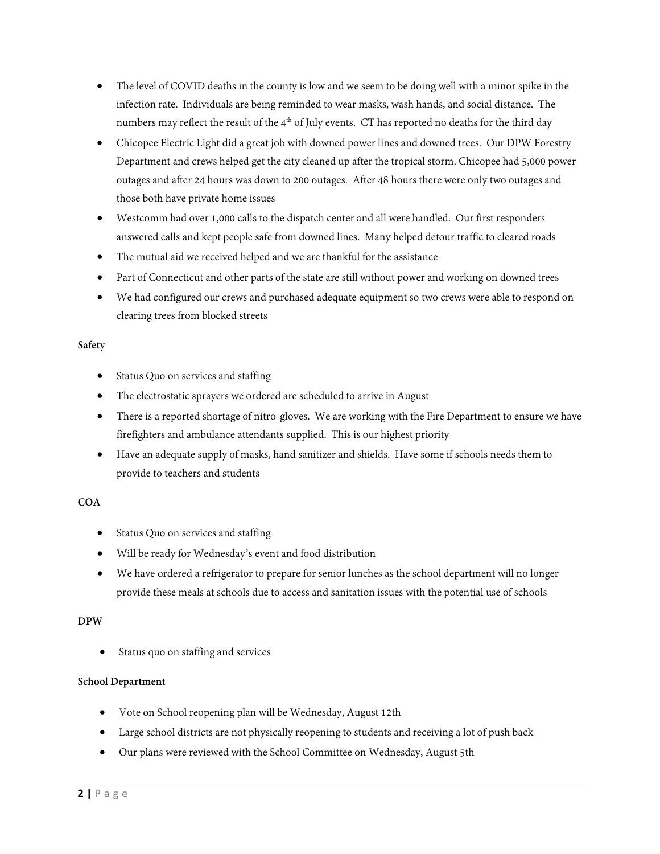- The level of COVID deaths in the county is low and we seem to be doing well with a minor spike in the infection rate. Individuals are being reminded to wear masks, wash hands, and social distance. The numbers may reflect the result of the 4<sup>th</sup> of July events. CT has reported no deaths for the third day
- Chicopee Electric Light did a great job with downed power lines and downed trees. Our DPW Forestry Department and crews helped get the city cleaned up after the tropical storm. Chicopee had 5,000 power outages and after 24 hours was down to 200 outages. After 48 hours there were only two outages and those both have private home issues
- Westcomm had over 1,000 calls to the dispatch center and all were handled. Our first responders answered calls and kept people safe from downed lines. Many helped detour traffic to cleared roads
- The mutual aid we received helped and we are thankful for the assistance
- Part of Connecticut and other parts of the state are still without power and working on downed trees
- We had configured our crews and purchased adequate equipment so two crews were able to respond on clearing trees from blocked streets

# **Safety**

- Status Quo on services and staffing
- The electrostatic sprayers we ordered are scheduled to arrive in August
- There is a reported shortage of nitro-gloves. We are working with the Fire Department to ensure we have firefighters and ambulance attendants supplied. This is our highest priority
- Have an adequate supply of masks, hand sanitizer and shields. Have some if schools needs them to provide to teachers and students

## **COA**

- Status Quo on services and staffing
- Will be ready for Wednesday's event and food distribution
- We have ordered a refrigerator to prepare for senior lunches as the school department will no longer provide these meals at schools due to access and sanitation issues with the potential use of schools

## **DPW**

Status quo on staffing and services

## **School Department**

- Vote on School reopening plan will be Wednesday, August 12th
- Large school districts are not physically reopening to students and receiving a lot of push back
- Our plans were reviewed with the School Committee on Wednesday, August 5th